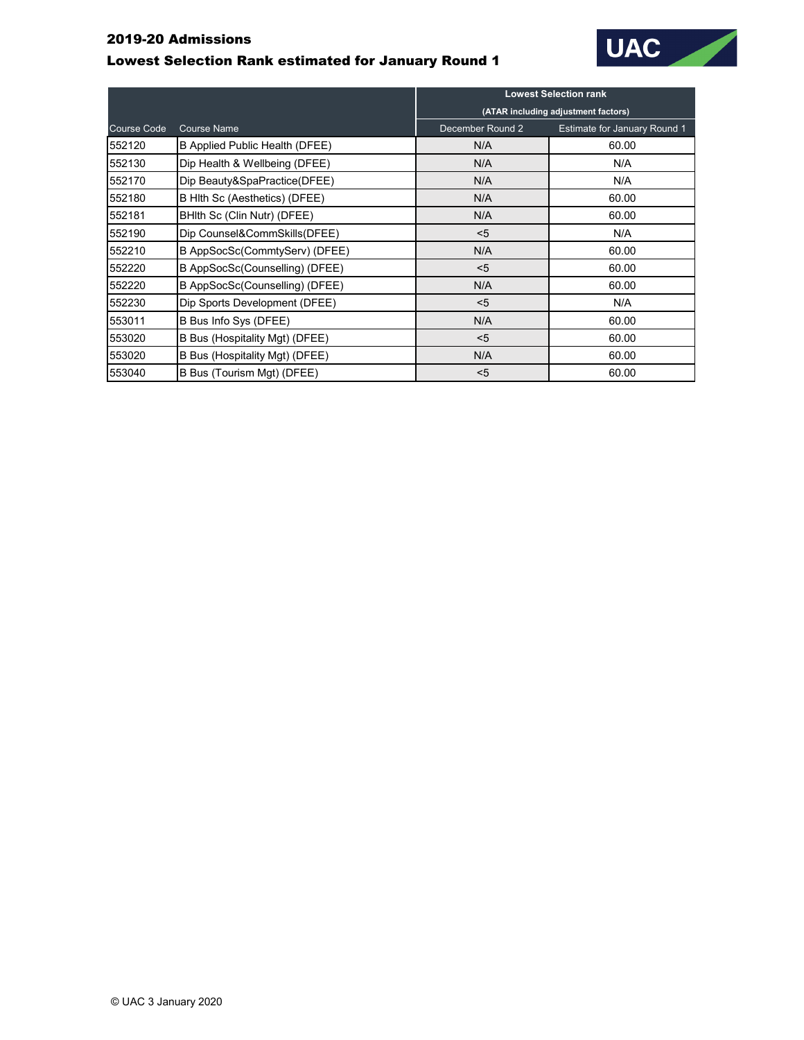## 2019-20 Admissions

## Lowest Selection Rank estimated for January Round 1



|                    |                                       | <b>Lowest Selection rank</b>        |                                     |
|--------------------|---------------------------------------|-------------------------------------|-------------------------------------|
|                    |                                       | (ATAR including adjustment factors) |                                     |
| <b>Course Code</b> | <b>Course Name</b>                    | December Round 2                    | <b>Estimate for January Round 1</b> |
| 552120             | <b>B Applied Public Health (DFEE)</b> | N/A                                 | 60.00                               |
| 552130             | Dip Health & Wellbeing (DFEE)         | N/A                                 | N/A                                 |
| 552170             | Dip Beauty&SpaPractice(DFEE)          | N/A                                 | N/A                                 |
| 552180             | B Hith Sc (Aesthetics) (DFEE)         | N/A                                 | 60.00                               |
| 552181             | BHIth Sc (Clin Nutr) (DFEE)           | N/A                                 | 60.00                               |
| 552190             | Dip Counsel&CommSkills(DFEE)          | $5$                                 | N/A                                 |
| 552210             | B AppSocSc(CommtyServ) (DFEE)         | N/A                                 | 60.00                               |
| 552220             | B AppSocSc(Counselling) (DFEE)        | $5$                                 | 60.00                               |
| 552220             | B AppSocSc(Counselling) (DFEE)        | N/A                                 | 60.00                               |
| 552230             | Dip Sports Development (DFEE)         | $5$                                 | N/A                                 |
| 553011             | B Bus Info Sys (DFEE)                 | N/A                                 | 60.00                               |
| 553020             | B Bus (Hospitality Mgt) (DFEE)        | $5$                                 | 60.00                               |
| 553020             | B Bus (Hospitality Mgt) (DFEE)        | N/A                                 | 60.00                               |
| 553040             | B Bus (Tourism Mgt) (DFEE)            | $5$                                 | 60.00                               |